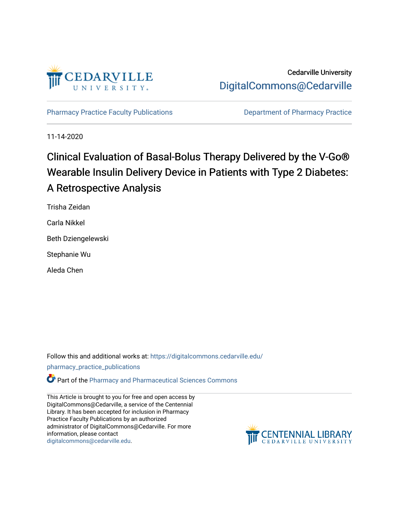

Cedarville University [DigitalCommons@Cedarville](https://digitalcommons.cedarville.edu/) 

[Pharmacy Practice Faculty Publications](https://digitalcommons.cedarville.edu/pharmacy_practice_publications) **Department of Pharmacy Practice** 

11-14-2020

## Clinical Evaluation of Basal-Bolus Therapy Delivered by the V-Go® Wearable Insulin Delivery Device in Patients with Type 2 Diabetes: A Retrospective Analysis

Trisha Zeidan Carla Nikkel Beth Dziengelewski Stephanie Wu

Aleda Chen

Follow this and additional works at: [https://digitalcommons.cedarville.edu/](https://digitalcommons.cedarville.edu/pharmacy_practice_publications?utm_source=digitalcommons.cedarville.edu%2Fpharmacy_practice_publications%2F412&utm_medium=PDF&utm_campaign=PDFCoverPages)

[pharmacy\\_practice\\_publications](https://digitalcommons.cedarville.edu/pharmacy_practice_publications?utm_source=digitalcommons.cedarville.edu%2Fpharmacy_practice_publications%2F412&utm_medium=PDF&utm_campaign=PDFCoverPages)

Part of the [Pharmacy and Pharmaceutical Sciences Commons](http://network.bepress.com/hgg/discipline/731?utm_source=digitalcommons.cedarville.edu%2Fpharmacy_practice_publications%2F412&utm_medium=PDF&utm_campaign=PDFCoverPages)

This Article is brought to you for free and open access by DigitalCommons@Cedarville, a service of the Centennial Library. It has been accepted for inclusion in Pharmacy Practice Faculty Publications by an authorized administrator of DigitalCommons@Cedarville. For more information, please contact [digitalcommons@cedarville.edu](mailto:digitalcommons@cedarville.edu).

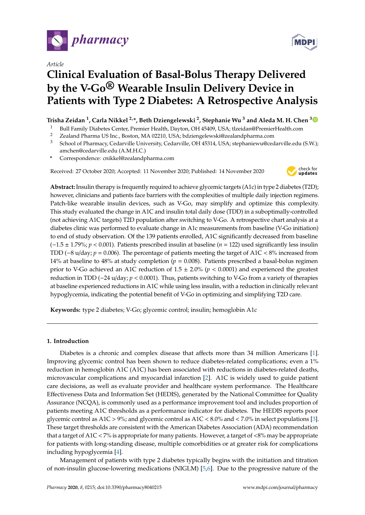

*Article*

# **Clinical Evaluation of Basal-Bolus Therapy Delivered by the V-Go**® **Wearable Insulin Delivery Device in Patients with Type 2 Diabetes: A Retrospective Analysis**

### **Trisha Zeidan <sup>1</sup> , Carla Nikkel 2,\*, Beth Dziengelewski <sup>2</sup> , Stephanie Wu <sup>3</sup> and Aleda M. H. Chen [3](https://orcid.org/0000-0002-4636-8260)**

- <sup>1</sup> Bull Family Diabetes Center, Premier Health, Dayton, OH 45409, USA; tlzeidan@PremierHealth.com
- <sup>2</sup> Zealand Pharma US Inc., Boston, MA 02210, USA; bdziengelewski@zealandpharma.com
- <sup>3</sup> School of Pharmacy, Cedarville University, Cedarville, OH 45314, USA; stephaniewu@cedarville.edu (S.W.); amchen@cedarville.edu (A.M.H.C.)
- **\*** Correspondence: cnikkel@zealandpharma.com

Received: 27 October 2020; Accepted: 11 November 2020; Published: 14 November 2020



**Abstract:**Insulin therapy is frequently required to achieve glycemic targets (A1c) in type 2 diabetes (T2D); however, clinicians and patients face barriers with the complexities of multiple daily injection regimens. Patch-like wearable insulin devices, such as V-Go, may simplify and optimize this complexity. This study evaluated the change in A1C and insulin total daily dose (TDD) in a suboptimally-controlled (not achieving A1C targets) T2D population after switching to V-Go. A retrospective chart analysis at a diabetes clinic was performed to evaluate change in A1c measurements from baseline (V-Go initiation) to end of study observation. Of the 139 patients enrolled, A1C significantly decreased from baseline (−1.5 ± 1.79%; *p* < 0.001). Patients prescribed insulin at baseline (*n* = 122) used significantly less insulin TDD (−8 u/day; *p* = 0.006). The percentage of patients meeting the target of A1C < 8% increased from 14% at baseline to 48% at study completion ( $p = 0.008$ ). Patients prescribed a basal-bolus regimen prior to V-Go achieved an A1C reduction of  $1.5 \pm 2.0\%$  ( $p < 0.0001$ ) and experienced the greatest reduction in TDD (−24 u/day; *p* < 0.0001). Thus, patients switching to V-Go from a variety of therapies at baseline experienced reductions in A1C while using less insulin, with a reduction in clinically relevant hypoglycemia, indicating the potential benefit of V-Go in optimizing and simplifying T2D care.

**Keywords:** type 2 diabetes; V-Go; glycemic control; insulin; hemoglobin A1c

#### **1. Introduction**

Diabetes is a chronic and complex disease that affects more than 34 million Americans [\[1\]](#page-9-0). Improving glycemic control has been shown to reduce diabetes-related complications; even a 1% reduction in hemoglobin A1C (A1C) has been associated with reductions in diabetes-related deaths, microvascular complications and myocardial infarction [\[2\]](#page-9-1). A1C is widely used to guide patient care decisions, as well as evaluate provider and healthcare system performance. The Healthcare Effectiveness Data and Information Set (HEDIS), generated by the National Committee for Quality Assurance (NCQA), is commonly used as a performance improvement tool and includes proportion of patients meeting A1C thresholds as a performance indicator for diabetes. The HEDIS reports poor glycemic control as  $A1C > 9\%$ ; and glycemic control as  $A1C < 8.0\%$  and  $< 7.0\%$  in select populations [\[3\]](#page-9-2). These target thresholds are consistent with the American Diabetes Association (ADA) recommendation that a target of  $A1C < 7\%$  is appropriate for many patients. However, a target of  $\langle 8\%$  may be appropriate for patients with long-standing disease, multiple comorbidities or at greater risk for complications including hypoglycemia [\[4\]](#page-9-3).

Management of patients with type 2 diabetes typically begins with the initiation and titration of non-insulin glucose-lowering medications (NIGLM) [\[5,](#page-9-4)[6\]](#page-9-5). Due to the progressive nature of the

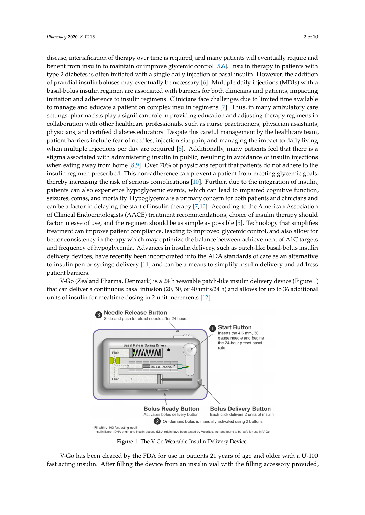disease, intensification of therapy over time is required, and many patients will eventually require and disease, intensification of therapy over time is required, and many patients will eventually require benefit from insulin to maintain or improve glycemic control [\[5,](#page-9-4)[6\]](#page-9-5). Insulin therapy in patients with type 2 diabetes is often initiated with a single daily injection of basal insulin. However, the addition of prandial insulin boluses may eventually be necessary [\[6\]](#page-9-5). Multiple daily injections (MDIs) with a basal-bolus insulin regimen are associated with barriers for both clinicians and patients, impacting initiation and adherence to insulin regimens. Clinicians face challenges due to limited time available to manage and educate a patient on complex insulin regimens [\[7\]](#page-9-6). Thus, in many ambulatory care settings, pharmacists play a significant role in providing education and adjusting therapy regimens in collaboration with other healthcare professionals, such as nurse practitioners, physician assistants, physicians, and certified diabetes educators. Despite this careful management by the healthcare team, patient barriers include fear of needles, injection site pain, and managing the impact to daily living when multiple injections per day are required [\[8\]](#page-9-7). Additionally, many patients feel that there is a stigma associated with administering insulin in public, resulting in avoidance of insulin injections when eating away from home [\[8,](#page-9-7)[9\]](#page-9-8). Over 70% of physicians report that patients do not adhere to the insulin regimen prescribed. This non-adherence can prevent a patient from meeting glycemic goals, thereby increasing the risk of serious complications  $[10]$ . Further, due to the integration of insulin, patients can also experience hypoglycemic events, which can lead to impaired cognitive function, seizures, comas, and mortality. Hypoglycemia is a primary concern for both patients and clinicians and can be a factor in delaying the start of insulin therapy [\[7,](#page-9-6)[10\]](#page-9-9). According to the American Association of Clinical Endocrinologists (AACE) treatment recommendations, choice of insulin therapy should factor in ease of use, and the regimen should be as simple as possible [\[5\]](#page-9-4). Technology that simplifies treatment can improve patient compliance, leading to improved glycemic control, and also allow for better consistency in therapy which may optimize the balance between achievement of A1C targets and frequency of hypoglycemia. Advances in insulin delivery, such as patch-like basal-bolus insulin delivery devices, have recently been incorporated into the ADA standards of care as an alternative to insulin pen or syringe delivery  $[11]$  and can be a means to simplify insulin delivery and address patient barriers.

<span id="page-2-0"></span>V-Go (Zealand Pharma, Denmark) is a 24 h wearable patch-like insulin delivery device (Figure 1) V-Go (Zealand Pharma, Denmark) is a 24 h wearable patch-like insulin delivery device (Fig[ure](#page-2-0) that can deliver a continuous basal infusion (20, 30, or 40 units/24 h) and allows for up to 36 additional units of insulin for mealtime dosing in 2 unit increments [\[12\]](#page-9-11).  $\,$ 



**Figure 1.** The V-Go Wearable Insulin Delivery Device. **Figure 1.** The V-Go Wearable Insulin Delivery Device.

V-Go has been cleared by the FDA for use in patients 21 years of age and older with a U-100 V-Go has been cleared by the FDA for use in patients 21 years of age and older with a U-100 fast acting insulin. After filling the device from an insulin vial with the filling accessory provided,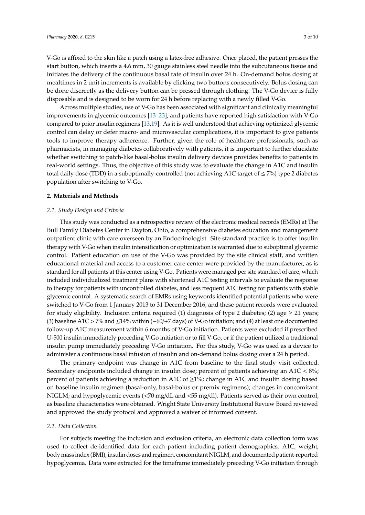V-Go is affixed to the skin like a patch using a latex-free adhesive. Once placed, the patient presses the start button, which inserts a 4.6 mm, 30 gauge stainless steel needle into the subcutaneous tissue and initiates the delivery of the continuous basal rate of insulin over 24 h. On-demand bolus dosing at mealtimes in 2 unit increments is available by clicking two buttons consecutively. Bolus dosing can be done discreetly as the delivery button can be pressed through clothing. The V-Go device is fully disposable and is designed to be worn for 24 h before replacing with a newly filled V-Go.

Across multiple studies, use of V-Go has been associated with significant and clinically meaningful improvements in glycemic outcomes [\[13](#page-9-12)[–23\]](#page-10-0), and patients have reported high satisfaction with V-Go compared to prior insulin regimens [\[13](#page-9-12)[,19\]](#page-10-1). As it is well understood that achieving optimized glycemic control can delay or defer macro- and microvascular complications, it is important to give patients tools to improve therapy adherence. Further, given the role of healthcare professionals, such as pharmacists, in managing diabetes collaboratively with patients, it is important to further elucidate whether switching to patch-like basal-bolus insulin delivery devices provides benefits to patients in real-world settings. Thus, the objective of this study was to evaluate the change in A1C and insulin total daily dose (TDD) in a suboptimally-controlled (not achieving A1C target of  $\leq$  7%) type 2 diabetes population after switching to V-Go.

#### **2. Materials and Methods**

#### *2.1. Study Design and Criteria*

This study was conducted as a retrospective review of the electronic medical records (EMRs) at The Bull Family Diabetes Center in Dayton, Ohio, a comprehensive diabetes education and management outpatient clinic with care overseen by an Endocrinologist. Site standard practice is to offer insulin therapy with V-Go when insulin intensification or optimization is warranted due to suboptimal glycemic control. Patient education on use of the V-Go was provided by the site clinical staff, and written educational material and access to a customer care center were provided by the manufacturer, as is standard for all patients at this center using V-Go. Patients were managed per site standard of care, which included individualized treatment plans with shortened A1C testing intervals to evaluate the response to therapy for patients with uncontrolled diabetes, and less frequent A1C testing for patients with stable glycemic control. A systematic search of EMRs using keywords identified potential patients who were switched to V-Go from 1 January 2013 to 31 December 2016, and these patient records were evaluated for study eligibility. Inclusion criteria required (1) diagnosis of type 2 diabetes; (2) age  $\geq$  21 years; (3) baseline A1C > 7% and ≤14% within (−60/+7 days) of V-Go initiation; and (4) at least one documented follow-up A1C measurement within 6 months of V-Go initiation. Patients were excluded if prescribed U-500 insulin immediately preceding V-Go initiation or to fill V-Go, or if the patient utilized a traditional insulin pump immediately preceding V-Go initiation. For this study, V-Go was used as a device to administer a continuous basal infusion of insulin and on-demand bolus dosing over a 24 h period.

The primary endpoint was change in A1C from baseline to the final study visit collected. Secondary endpoints included change in insulin dose; percent of patients achieving an A1C < 8%; percent of patients achieving a reduction in A1C of  $\geq$ 1%; change in A1C and insulin dosing based on baseline insulin regimen (basal-only, basal-bolus or premix regimens); changes in concomitant NIGLM; and hypoglycemic events (<70 mg/dL and <55 mg/dl). Patients served as their own control, as baseline characteristics were obtained. Wright State University Institutional Review Board reviewed and approved the study protocol and approved a waiver of informed consent.

#### *2.2. Data Collection*

For subjects meeting the inclusion and exclusion criteria, an electronic data collection form was used to collect de-identified data for each patient including patient demographics, A1C, weight, bodymass index (BMI), insulin doses and regimen, concomitant NIGLM, and documented patient-reported hypoglycemia. Data were extracted for the timeframe immediately preceding V-Go initiation through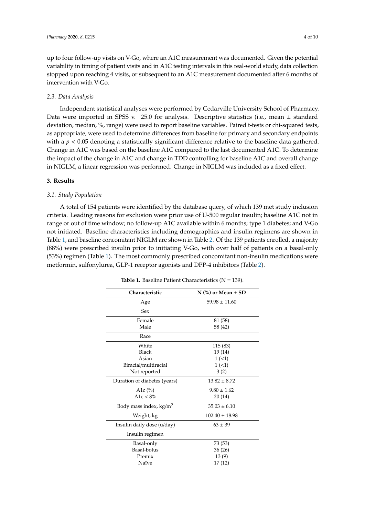up to four follow-up visits on V-Go, where an A1C measurement was documented. Given the potential variability in timing of patient visits and in A1C testing intervals in this real-world study, data collection stopped upon reaching 4 visits, or subsequent to an A1C measurement documented after 6 months of intervention with V-Go.

#### *2.3. Data Analysis*

Independent statistical analyses were performed by Cedarville University School of Pharmacy. Data were imported in SPSS v. 25.0 for analysis. Descriptive statistics (i.e., mean  $\pm$  standard deviation, median, %, range) were used to report baseline variables. Paired t-tests or chi-squared tests, as appropriate, were used to determine differences from baseline for primary and secondary endpoints with a  $p < 0.05$  denoting a statistically significant difference relative to the baseline data gathered. Change in A1C was based on the baseline A1C compared to the last documented A1C. To determine the impact of the change in A1C and change in TDD controlling for baseline A1C and overall change in NIGLM, a linear regression was performed. Change in NIGLM was included as a fixed effect.

#### **3. Results**

#### *3.1. Study Population*

A total of 154 patients were identified by the database query, of which 139 met study inclusion criteria. Leading reasons for exclusion were prior use of U-500 regular insulin; baseline A1C not in range or out of time window; no follow-up A1C available within 6 months; type 1 diabetes; and V-Go not initiated. Baseline characteristics including demographics and insulin regimens are shown in Table [1,](#page-4-0) and baseline concomitant NIGLM are shown in Table [2.](#page-5-0) Of the 139 patients enrolled, a majority (88%) were prescribed insulin prior to initiating V-Go, with over half of patients on a basal-only (53%) regimen (Table [1\)](#page-4-0). The most commonly prescribed concomitant non-insulin medications were metformin, sulfonylurea, GLP-1 receptor agonists and DPP-4 inhibitors (Table [2\)](#page-5-0).

<span id="page-4-0"></span>

| Characteristic               | N (%) or Mean $\pm$ SD |  |
|------------------------------|------------------------|--|
| Age                          | $59.98 \pm 11.60$      |  |
| Sex                          |                        |  |
| Female                       | 81 (58)                |  |
| Male                         | 58 (42)                |  |
| Race                         |                        |  |
| White                        | 115 (83)               |  |
| Black                        | 19(14)                 |  |
| Asian                        | 1(1)                   |  |
| Biracial/multiracial         | 1(1)                   |  |
| Not reported                 | 3(2)                   |  |
| Duration of diabetes (years) | $13.82 \pm 8.72$       |  |
| A1c $(%)$                    | $9.80 \pm 1.62$        |  |
| A1c < 8%                     | 20 (14)                |  |
| Body mass index, $kg/m2$     | $35.03 \pm 6.10$       |  |
| Weight, kg                   | $102.40 \pm 18.98$     |  |
| Insulin daily dose (u/day)   | $63 \pm 39$            |  |
| Insulin regimen              |                        |  |
| Basal-only                   | 73 (53)                |  |
| Basal-bolus                  | 36(26)                 |  |
| Premix                       | 13(9)                  |  |
| Naïve                        | 17(12)                 |  |

Table 1. Baseline Patient Characteristics (N = 139).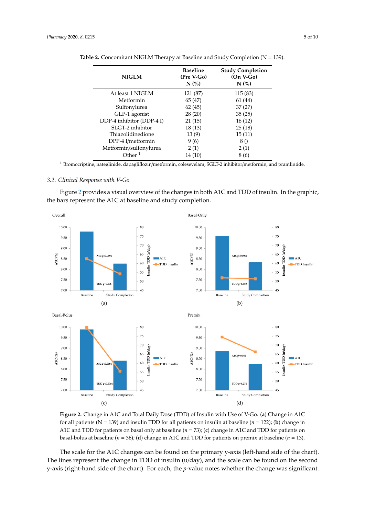<span id="page-5-0"></span>

| <b>NIGLM</b>              | <b>Baseline</b><br>(Pre V-Go) | <b>Study Completion</b><br>$(On V-G0)$ |
|---------------------------|-------------------------------|----------------------------------------|
|                           | $N$ (%)                       | N(%                                    |
| At least 1 NIGLM          | 121 (87)                      | 115(83)                                |
| Metformin                 | 65 (47)                       | 61 (44)                                |
| Sulfonylurea              | 62(45)                        | 37(27)                                 |
| GLP-1 agonist             | 28(20)                        | 35(25)                                 |
| DDP-4 inhibitor (DDP-4 I) | 21(15)                        | 16(12)                                 |
| SLGT-2 inhibitor          | 18 (13)                       | 25(18)                                 |
| Thiazolidinedione         | 13(9)                         | 15(11)                                 |
| DPP-4 I/metformin         | 9(6)                          | 8()                                    |
| Metformin/sulfonylurea    | 2(1)                          | 2(1)                                   |
| Other <sup>1</sup>        | 14 (10)                       | 8(6)                                   |

|  | Table 2. Concomitant NIGLM Therapy at Baseline and Study Completion ( $N = 139$ ). |  |  |  |  |
|--|------------------------------------------------------------------------------------|--|--|--|--|
|--|------------------------------------------------------------------------------------|--|--|--|--|

1<br>
<sup>1</sup> Bromocriptine, nateglinide, dapagliflozin/metformin, colesevelam, SGLT-2 inhibitor/metformin, and pramlintide. bromocriptine, na

### *3.2. Clinical Response with V-Go 3.2. Clinical Response with V-Go*

Figure [2](#page-5-1) provides a visual overview of the changes in both A1C and TDD of insulin. In the graphic, Figure 2 provides a visual overview of the changes in both A1C and TDD of insulin. In the the bars represent the A1C at baseline and study completion.

<span id="page-5-1"></span>

**Figure 2.** Change in A1C and Total Daily Dose (TDD) of Insulin with Use of V-Go. (**a**) Change in A1C for all patients (N = 139) and insulin TDD for all patients on insulin at baseline ( $n = 122$ ); (**b**) change in in A1C and TDD for patients on basal only at baseline (*n* = 73); **(c)** change in A1C and TDD for patients basal-bolus at baseline ( $n = 36$ ); (**d**) change in A1C and TDD for patients on premix at baseline ( $n = 13$ ). **Figure 2.** Change in A1C and Total Daily Dose (TDD) of Insulin with Use of V-Go. (**a**) Change in A1C A1C and TDD for patients on basal only at baseline (*n* = 73); (**c**) change in A1C and TDD for patients on

The scale for the A1C changes can be found on the primary y-axis (left-hand side of the chart).  $\epsilon$  (right hand side of the chart). For each the privative potes whether the change we significant y-axis (right-hand side of the chart). For each, the *p*-value notes whether the change was significant.<br> The lines represent the change in TDD of insulin (u/day), and the scale can be found on the second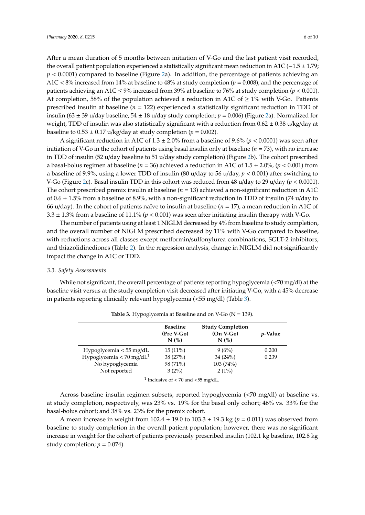After a mean duration of 5 months between initiation of V-Go and the last patient visit recorded, the overall patient population experienced a statistically significant mean reduction in A1C (−1.5 ± 1.79; *p* < 0.0001) compared to baseline (Figure [2a](#page-5-1)). In addition, the percentage of patients achieving an A1C < 8% increased from 14% at baseline to 48% at study completion (*p* = 0.008), and the percentage of patients achieving an A1C ≤ 9% increased from 39% at baseline to 76% at study completion (*p* < 0.001). At completion, 58% of the population achieved a reduction in A1C of  $\geq$  1% with V-Go. Patients prescribed insulin at baseline (*n* = 122) experienced a statistically significant reduction in TDD of insulin (63  $\pm$  39 u/day baseline, 54  $\pm$  18 u/day study completion;  $p = 0.006$ ) (Figure [2a](#page-5-1)). Normalized for weight, TDD of insulin was also statistically significant with a reduction from  $0.62 \pm 0.38$  u/kg/day at baseline to  $0.53 \pm 0.17$  u/kg/day at study completion ( $p = 0.002$ ).

A significant reduction in A1C of 1.3  $\pm$  2.0% from a baseline of 9.6% ( $p < 0.0001$ ) was seen after initiation of V-Go in the cohort of patients using basal insulin only at baseline (*n* = 73), with no increase in TDD of insulin (52 u/day baseline to 51 u/day study completion) (Figure [2b](#page-5-1)). The cohort prescribed a basal-bolus regimen at baseline (*n* = 36) achieved a reduction in A1C of 1.5 ± 2.0%, (*p* < 0.001) from a baseline of 9.9%, using a lower TDD of insulin (80 u/day to 56 u/day, *p* < 0.001) after switching to V-Go (Figure [2c](#page-5-1)). Basal insulin TDD in this cohort was reduced from 48 u/day to 29 u/day (*p* < 0.0001). The cohort prescribed premix insulin at baseline (*n* = 13) achieved a non-significant reduction in A1C of  $0.6 \pm 1.5\%$  from a baseline of 8.9%, with a non-significant reduction in TDD of insulin (74 u/day to 66 u/day). In the cohort of patients naïve to insulin at baseline (*n* = 17), a mean reduction in A1C of 3.3 ± 1.3% from a baseline of 11.1% (*p* < 0.001) was seen after initiating insulin therapy with V-Go.

The number of patients using at least 1 NIGLM decreased by 4% from baseline to study completion, and the overall number of NIGLM prescribed decreased by 11% with V-Go compared to baseline, with reductions across all classes except metformin/sulfonylurea combinations, SGLT-2 inhibitors, and thiazolidinediones (Table [2\)](#page-5-0). In the regression analysis, change in NIGLM did not significantly impact the change in A1C or TDD.

#### *3.3. Safety Assessments*

<span id="page-6-0"></span>While not significant, the overall percentage of patients reporting hypoglycemia (<70 mg/dl) at the baseline visit versus at the study completion visit decreased after initiating V-Go, with a 45% decrease in patients reporting clinically relevant hypoglycemia (<55 mg/dl) (Table [3\)](#page-6-0).

|                             | <b>Baseline</b><br>(Pre V-Go)<br>N(%) | <b>Study Completion</b><br>$(On V-G0)$<br>N(%) | <i>p</i> -Value |
|-----------------------------|---------------------------------------|------------------------------------------------|-----------------|
| Hypoglycemia $<$ 55 mg/dL   | $15(11\%)$                            | 9(6%)                                          | 0.200           |
| Hypoglycemia < 70 mg/d $L1$ | 38(27%)                               | 34(24%)                                        | 0.239           |
| No hypoglycemia             | 98 (71%)                              | 103 (74%)                                      |                 |
| Not reported                | 3(2%)                                 | $2(1\%)$                                       |                 |

**Table 3.** Hypoglycemia at Baseline and on V-Go (N = 139).

<sup>1</sup> Inclusive of  $<$  70 and  $<$  55 mg/dL.

Across baseline insulin regimen subsets, reported hypoglycemia (<70 mg/dl) at baseline vs. at study completion, respectively, was 23% vs. 19% for the basal only cohort; 46% vs. 33% for the basal-bolus cohort; and 38% vs. 23% for the premix cohort.

A mean increase in weight from  $102.4 \pm 19.0$  to  $103.3 \pm 19.3$  kg ( $p = 0.011$ ) was observed from baseline to study completion in the overall patient population; however, there was no significant increase in weight for the cohort of patients previously prescribed insulin (102.1 kg baseline, 102.8 kg study completion;  $p = 0.074$ ).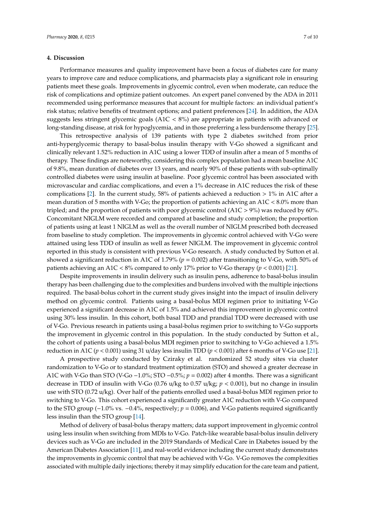#### **4. Discussion**

Performance measures and quality improvement have been a focus of diabetes care for many years to improve care and reduce complications, and pharmacists play a significant role in ensuring patients meet these goals. Improvements in glycemic control, even when moderate, can reduce the risk of complications and optimize patient outcomes. An expert panel convened by the ADA in 2011 recommended using performance measures that account for multiple factors: an individual patient's risk status; relative benefits of treatment options; and patient preferences [\[24\]](#page-10-2). In addition, the ADA suggests less stringent glycemic goals (A1C < 8%) are appropriate in patients with advanced or long-standing disease, at risk for hypoglycemia, and in those preferring a less burdensome therapy [\[25\]](#page-10-3).

This retrospective analysis of 139 patients with type 2 diabetes switched from prior anti-hyperglycemic therapy to basal-bolus insulin therapy with V-Go showed a significant and clinically relevant 1.52% reduction in A1C using a lower TDD of insulin after a mean of 5 months of therapy. These findings are noteworthy, considering this complex population had a mean baseline A1C of 9.8%, mean duration of diabetes over 13 years, and nearly 90% of these patients with sub-optimally controlled diabetes were using insulin at baseline. Poor glycemic control has been associated with microvascular and cardiac complications, and even a 1% decrease in A1C reduces the risk of these complications [\[2\]](#page-9-1). In the current study, 58% of patients achieved a reduction  $> 1\%$  in A1C after a mean duration of 5 months with V-Go; the proportion of patients achieving an A1C < 8.0% more than tripled; and the proportion of patients with poor glycemic control (A1C > 9%) was reduced by 60%. Concomitant NIGLM were recorded and compared at baseline and study completion; the proportion of patients using at least 1 NIGLM as well as the overall number of NIGLM prescribed both decreased from baseline to study completion. The improvements in glycemic control achieved with V-Go were attained using less TDD of insulin as well as fewer NIGLM. The improvement in glycemic control reported in this study is consistent with previous V-Go research. A study conducted by Sutton et al. showed a significant reduction in A1C of 1.79% (*p* = 0.002) after transitioning to V-Go, with 50% of patients achieving an A1C < 8% compared to only 17% prior to V-Go therapy (*p* < 0.001) [\[21\]](#page-10-4).

Despite improvements in insulin delivery such as insulin pens, adherence to basal-bolus insulin therapy has been challenging due to the complexities and burdens involved with the multiple injections required. The basal-bolus cohort in the current study gives insight into the impact of insulin delivery method on glycemic control. Patients using a basal-bolus MDI regimen prior to initiating V-Go experienced a significant decrease in A1C of 1.5% and achieved this improvement in glycemic control using 30% less insulin. In this cohort, both basal TDD and prandial TDD were decreased with use of V-Go. Previous research in patients using a basal-bolus regimen prior to switching to V-Go supports the improvement in glycemic control in this population. In the study conducted by Sutton et al., the cohort of patients using a basal-bolus MDI regimen prior to switching to V-Go achieved a 1.5% reduction in A1C (*p* < 0.001) using 31 u/day less insulin TDD (*p* < 0.001) after 6 months of V-Go use [\[21\]](#page-10-4).

A prospective study conducted by Cziraky et al. randomized 52 study sites via cluster randomization to V-Go or to standard treatment optimization (STO) and showed a greater decrease in A1C with V-Go than STO (V-Go −1.0%; STO −0.5%; *p* = 0.002) after 4 months. There was a significant decrease in TDD of insulin with V-Go (0.76 u/kg to 0.57 u/kg; *p* < 0.001), but no change in insulin use with STO (0.72 u/kg). Over half of the patients enrolled used a basal-bolus MDI regimen prior to switching to V-Go. This cohort experienced a significantly greater A1C reduction with V-Go compared to the STO group (−1.0% vs. −0.4%, respectively; *p* = 0.006), and V-Go patients required significantly less insulin than the STO group [\[14\]](#page-9-13).

Method of delivery of basal-bolus therapy matters; data support improvement in glycemic control using less insulin when switching from MDIs to V-Go. Patch-like wearable basal-bolus insulin delivery devices such as V-Go are included in the 2019 Standards of Medical Care in Diabetes issued by the American Diabetes Association [\[11\]](#page-9-10), and real-world evidence including the current study demonstrates the improvements in glycemic control that may be achieved with V-Go. V-Go removes the complexities associated with multiple daily injections; thereby it may simplify education for the care team and patient,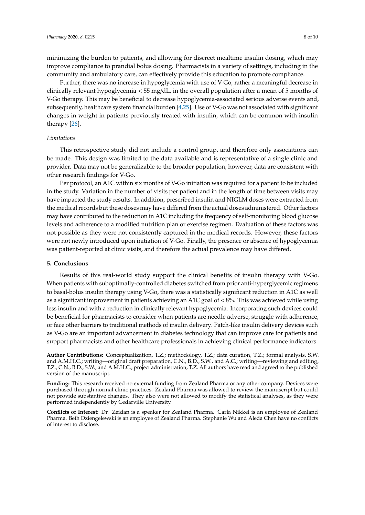minimizing the burden to patients, and allowing for discreet mealtime insulin dosing, which may improve compliance to prandial bolus dosing. Pharmacists in a variety of settings, including in the community and ambulatory care, can effectively provide this education to promote compliance.

Further, there was no increase in hypoglycemia with use of V-Go, rather a meaningful decrease in clinically relevant hypoglycemia < 55 mg/dL, in the overall population after a mean of 5 months of V-Go therapy. This may be beneficial to decrease hypoglycemia-associated serious adverse events and, subsequently, healthcare system financial burden [\[4,](#page-9-3)[25\]](#page-10-3). Use of V-Go was not associated with significant changes in weight in patients previously treated with insulin, which can be common with insulin therapy [\[26\]](#page-10-5).

#### *Limitations*

This retrospective study did not include a control group, and therefore only associations can be made. This design was limited to the data available and is representative of a single clinic and provider. Data may not be generalizable to the broader population; however, data are consistent with other research findings for V-Go.

Per protocol, an A1C within six months of V-Go initiation was required for a patient to be included in the study. Variation in the number of visits per patient and in the length of time between visits may have impacted the study results. In addition, prescribed insulin and NIGLM doses were extracted from the medical records but these doses may have differed from the actual doses administered. Other factors may have contributed to the reduction in A1C including the frequency of self-monitoring blood glucose levels and adherence to a modified nutrition plan or exercise regimen. Evaluation of these factors was not possible as they were not consistently captured in the medical records. However, these factors were not newly introduced upon initiation of V-Go. Finally, the presence or absence of hypoglycemia was patient-reported at clinic visits, and therefore the actual prevalence may have differed.

#### **5. Conclusions**

Results of this real-world study support the clinical benefits of insulin therapy with V-Go. When patients with suboptimally-controlled diabetes switched from prior anti-hyperglycemic regimens to basal-bolus insulin therapy using V-Go, there was a statistically significant reduction in A1C as well as a significant improvement in patients achieving an A1C goal of < 8%. This was achieved while using less insulin and with a reduction in clinically relevant hypoglycemia. Incorporating such devices could be beneficial for pharmacists to consider when patients are needle adverse, struggle with adherence, or face other barriers to traditional methods of insulin delivery. Patch-like insulin delivery devices such as V-Go are an important advancement in diabetes technology that can improve care for patients and support pharmacists and other healthcare professionals in achieving clinical performance indicators.

**Author Contributions:** Conceptualization, T.Z.; methodology, T.Z.; data curation, T.Z.; formal analysis, S.W. and A.M.H.C.; writing—original draft preparation, C.N., B.D., S.W., and A.C.; writing—reviewing and editing, T.Z., C.N., B.D., S.W., and A.M.H.C.; project administration, T.Z. All authors have read and agreed to the published version of the manuscript.

**Funding:** This research received no external funding from Zealand Pharma or any other company. Devices were purchased through normal clinic practices. Zealand Pharma was allowed to review the manuscript but could not provide substantive changes. They also were not allowed to modify the statistical analyses, as they were performed independently by Cedarville University.

**Conflicts of Interest:** Dr. Zeidan is a speaker for Zealand Pharma. Carla Nikkel is an employee of Zealand Pharma. Beth Dziengelewski is an employee of Zealand Pharma. Stephanie Wu and Aleda Chen have no conflicts of interest to disclose.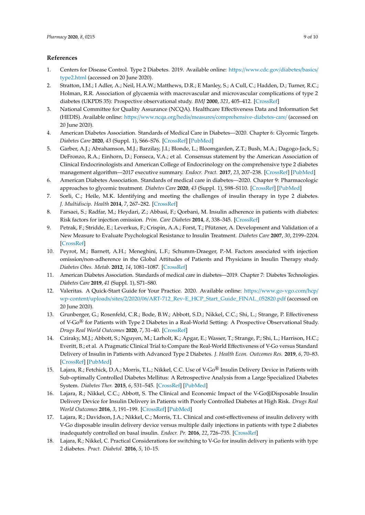#### **References**

- <span id="page-9-0"></span>1. Centers for Disease Control. Type 2 Diabetes. 2019. Available online: https://[www.cdc.gov](https://www.cdc.gov/diabetes/basics/type2.html)/diabetes/basics/ [type2.html](https://www.cdc.gov/diabetes/basics/type2.html) (accessed on 20 June 2020).
- <span id="page-9-1"></span>2. Stratton, I.M.; I Adler, A.; Neil, H.A.W.; Matthews, D.R.; E Manley, S.; A Cull, C.; Hadden, D.; Turner, R.C.; Holman, R.R. Association of glycaemia with macrovascular and microvascular complications of type 2 diabetes (UKPDS 35): Prospective observational study. *BMJ* **2000**, *321*, 405–412. [\[CrossRef\]](http://dx.doi.org/10.1136/bmj.321.7258.405)
- <span id="page-9-2"></span>3. National Committee for Quality Assurance (NCQA). Healthcare Effectiveness Data and Information Set (HEDIS). Available online: https://www.ncqa.org/hedis/measures/[comprehensive-diabetes-care](https://www.ncqa.org/hedis/measures/comprehensive-diabetes-care/)/ (accessed on 20 June 2020).
- <span id="page-9-3"></span>4. American Diabetes Association. Standards of Medical Care in Diabetes—2020. Chapter 6: Glycemic Targets. *Diabetes Care* **2020**, *43* (Suppl. 1), S66–S76. [\[CrossRef\]](http://dx.doi.org/10.2337/dc20-S006) [\[PubMed\]](http://www.ncbi.nlm.nih.gov/pubmed/31862749)
- <span id="page-9-4"></span>5. Garber, A.J.; Abrahamson, M.J.; Barzilay, J.I.; Blonde, L.; Bloomgarden, Z.T.; Bush, M.A.; Dagogo-Jack, S.; DeFronzo, R.A.; Einhorn, D.; Fonseca, V.A.; et al. Consensus statement by the American Association of Clinical Endocrinologists and American College of Endocrinology on the comprehensive type 2 diabetes management algorithm—2017 executive summary. *Endocr. Pract.* **2017**, *23*, 207–238. [\[CrossRef\]](http://dx.doi.org/10.4158/EP161682.CS) [\[PubMed\]](http://www.ncbi.nlm.nih.gov/pubmed/28095040)
- <span id="page-9-5"></span>6. American Diabetes Association. Standards of medical care in diabetes—2020. Chapter 9: Pharmacologic approaches to glycemic treatment. *Diabetes Care* **2020**, *43* (Suppl. 1), S98–S110. [\[CrossRef\]](http://dx.doi.org/10.2337/dc20-S009) [\[PubMed\]](http://www.ncbi.nlm.nih.gov/pubmed/31862752)
- <span id="page-9-6"></span>7. Sorli, C.; Heile, M.K. Identifying and meeting the challenges of insulin therapy in type 2 diabetes. *J. Multidiscip. Health* **2014**, *7*, 267–282. [\[CrossRef\]](http://dx.doi.org/10.2147/JMDH.S64084)
- <span id="page-9-7"></span>8. Farsaei, S.; Radfar, M.; Heydari, Z.; Abbasi, F.; Qorbani, M. Insulin adherence in patients with diabetes: Risk factors for injection omission. *Prim. Care Diabetes* **2014**, *8*, 338–345. [\[CrossRef\]](http://dx.doi.org/10.1016/j.pcd.2014.03.001)
- <span id="page-9-8"></span>9. Petrak, F.; Stridde, E.; Leverkus, F.; Crispin, A.A.; Forst, T.; Pfützner, A. Development and Validation of a New Measure to Evaluate Psychological Resistance to Insulin Treatment. *Diabetes Care* **2007**, *30*, 2199–2204. [\[CrossRef\]](http://dx.doi.org/10.2337/dc06-2042)
- <span id="page-9-9"></span>10. Peyrot, M.; Barnett, A.H.; Meneghini, L.F.; Schumm-Draeger, P.-M. Factors associated with injection omission/non-adherence in the Global Attitudes of Patients and Physicians in Insulin Therapy study. *Diabetes Obes. Metab.* **2012**, *14*, 1081–1087. [\[CrossRef\]](http://dx.doi.org/10.1111/j.1463-1326.2012.01636.x)
- <span id="page-9-10"></span>11. American Diabetes Association. Standards of medical care in diabetes—2019. Chapter 7: Diabetes Technologies. *Diabetes Care* **2019**, *41* (Suppl. 1), S71–S80.
- <span id="page-9-11"></span>12. Valeritas. A Quick-Start Guide for Your Practice. 2020. Available online: https://[www.go-vgo.com](https://www.go-vgo.com/hcp/wp-content/uploads/sites/2/2020/06/ART-712_Rev-E_HCP_Start_Guide_FINAL_052820.pdf)/hcp/ wp-content/uploads/sites/2/2020/06/[ART-712\\_Rev-E\\_HCP\\_Start\\_Guide\\_FINAL\\_052820.pdf](https://www.go-vgo.com/hcp/wp-content/uploads/sites/2/2020/06/ART-712_Rev-E_HCP_Start_Guide_FINAL_052820.pdf) (accessed on 20 June 2020).
- <span id="page-9-12"></span>13. Grunberger, G.; Rosenfeld, C.R.; Bode, B.W.; Abbott, S.D.; Nikkel, C.C.; Shi, L.; Strange, P. Effectiveness of V-Go® for Patients with Type 2 Diabetes in a Real-World Setting: A Prospective Observational Study. *Drugs Real World Outcomes* **2020**, *7*, 31–40. [\[CrossRef\]](http://dx.doi.org/10.1007/s40801-019-00173-8)
- <span id="page-9-13"></span>14. Cziraky, M.J.; Abbott, S.; Nguyen, M.; Larholt, K.; Apgar, E.; Wasser, T.; Strange, P.; Shi, L.; Harrison, H.C.; Everitt, B.; et al. A Pragmatic Clinical Trial to Compare the Real-World Effectiveness of V-Go versus Standard Delivery of Insulin in Patients with Advanced Type 2 Diabetes. *J. Health Econ. Outcomes Res.* **2019**, *6*, 70–83. [\[CrossRef\]](http://dx.doi.org/10.36469/9731) [\[PubMed\]](http://www.ncbi.nlm.nih.gov/pubmed/32685581)
- 15. Lajara, R.; Fetchick, D.A.; Morris, T.L.; Nikkel, C.C. Use of V-Go® Insulin Delivery Device in Patients with Sub-optimally Controlled Diabetes Mellitus: A Retrospective Analysis from a Large Specialized Diabetes System. *Diabetes Ther.* **2015**, *6*, 531–545. [\[CrossRef\]](http://dx.doi.org/10.1007/s13300-015-0138-7) [\[PubMed\]](http://www.ncbi.nlm.nih.gov/pubmed/26470692)
- 16. Lajara, R.; Nikkel, C.C.; Abbott, S. The Clinical and Economic Impact of the V-Go®Disposable Insulin Delivery Device for Insulin Delivery in Patients with Poorly Controlled Diabetes at High Risk. *Drugs Real World Outcomes* **2016**, *3*, 191–199. [\[CrossRef\]](http://dx.doi.org/10.1007/s40801-016-0075-4) [\[PubMed\]](http://www.ncbi.nlm.nih.gov/pubmed/27398298)
- 17. Lajara, R.; Davidson, J.A.; Nikkel, C.; Morris, T.L. Clinical and cost-effectiveness of insulin delivery with V-Go disposable insulin delivery device versus multiple daily injections in patients with type 2 diabetes inadequately controlled on basal insulin. *Endocr. Pr.* **2016**, *22*, 726–735. [\[CrossRef\]](http://dx.doi.org/10.4158/EP151182.OR)
- 18. Lajara, R.; Nikkel, C. Practical Considerations for switching to V-Go for insulin delivery in patients with type 2 diabetes. *Pract. Diabetol.* **2016**, *5*, 10–15.